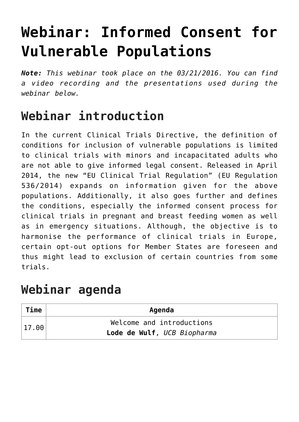# **[Webinar: Informed Consent for](https://toolbox.eupati.eu/resources/webinar-informed-consent-for-vulnerable-populations/) [Vulnerable Populations](https://toolbox.eupati.eu/resources/webinar-informed-consent-for-vulnerable-populations/)**

*Note: This webinar took place on the 03/21/2016. You can find a video recording and the presentations used during the webinar below.*

## **Webinar introduction**

In the current Clinical Trials Directive, the definition of conditions for inclusion of vulnerable populations is limited to clinical trials with minors and incapacitated adults who are not able to give informed legal consent. Released in April 2014, the new "EU Clinical Trial Regulation" (EU Regulation 536/2014) expands on information given for the above populations. Additionally, it also goes further and defines the conditions, especially the informed consent process for clinical trials in pregnant and breast feeding women as well as in emergency situations. Although, the objective is to harmonise the performance of clinical trials in Europe, certain opt-out options for Member States are foreseen and thus might lead to exclusion of certain countries from some trials.

#### **Webinar agenda**

| Time          | Agenda                      |
|---------------|-----------------------------|
| $\vert$ 17,00 | Welcome and introductions   |
|               | Lode de Wulf, UCB Biopharma |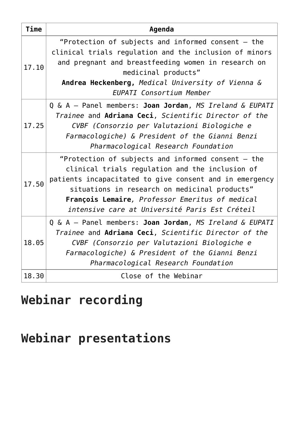| <b>Time</b> | Agenda                                                                                                                                                                                                                                                                                                                 |
|-------------|------------------------------------------------------------------------------------------------------------------------------------------------------------------------------------------------------------------------------------------------------------------------------------------------------------------------|
| 17.10       | "Protection of subjects and informed consent $-$ the<br>clinical trials regulation and the inclusion of minors<br>and pregnant and breastfeeding women in research on<br>medicinal products"<br>Andrea Heckenberg, Medical University of Vienna &<br><b>EUPATI Consortium Member</b>                                   |
| 17.25       | Q & A - Panel members: Joan Jordan, MS Ireland & EUPATI<br>Trainee and Adriana Ceci, Scientific Director of the<br>CVBF (Consorzio per Valutazioni Biologiche e<br>Farmacologiche) & President of the Gianni Benzi<br>Pharmacological Research Foundation                                                              |
| 17.50       | "Protection of subjects and informed consent - the<br>clinical trials regulation and the inclusion of<br>patients incapacitated to give consent and in emergency<br>situations in research on medicinal products"<br>François Lemaire, Professor Emeritus of medical<br>intensive care at Université Paris Est Créteil |
| 18.05       | Q & A - Panel members: Joan Jordan, MS Ireland & EUPATI<br>Trainee and Adriana Ceci, Scientific Director of the<br>CVBF (Consorzio per Valutazioni Biologiche e<br>Farmacologiche) & President of the Gianni Benzi<br>Pharmacological Research Foundation                                                              |
| 18.30       | Close of the Webinar                                                                                                                                                                                                                                                                                                   |

### **Webinar recording**

#### **Webinar presentations**